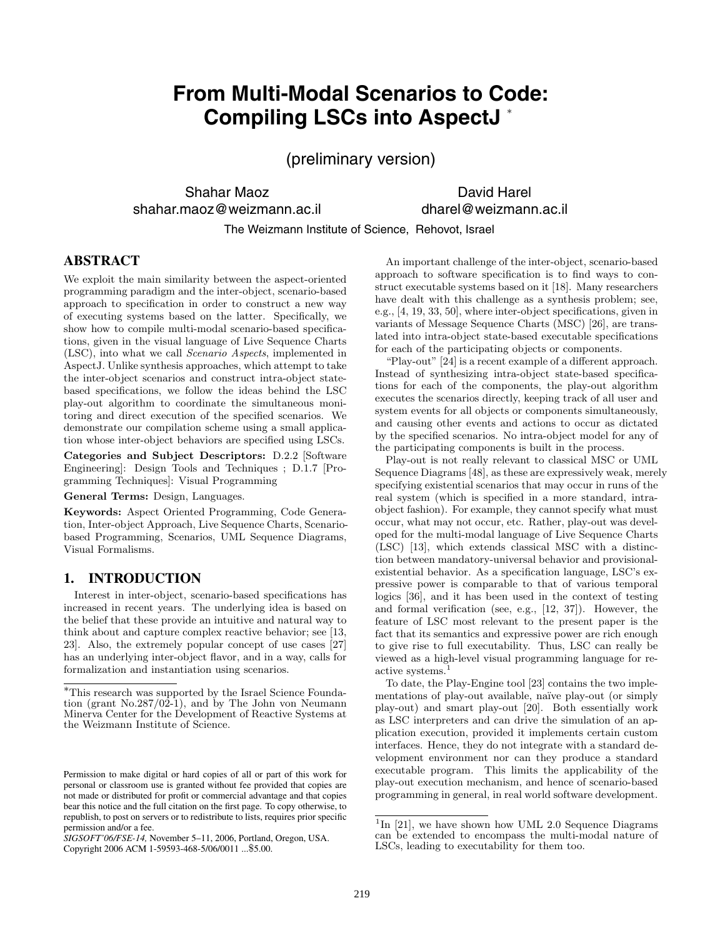# **From Multi-Modal Scenarios to Code: Compiling LSCs into AspectJ** <sup>∗</sup>

(preliminary version)

Shahar Maoz shahar.maoz@weizmann.ac.il

David Harel dharel@weizmann.ac.il

The Weizmann Institute of Science, Rehovot, Israel

# **ABSTRACT**

We exploit the main similarity between the aspect-oriented programming paradigm and the inter-object, scenario-based approach to specification in order to construct a new way of executing systems based on the latter. Specifically, we show how to compile multi-modal scenario-based specifications, given in the visual language of Live Sequence Charts (LSC), into what we call Scenario Aspects, implemented in AspectJ. Unlike synthesis approaches, which attempt to take the inter-object scenarios and construct intra-object statebased specifications, we follow the ideas behind the LSC play-out algorithm to coordinate the simultaneous monitoring and direct execution of the specified scenarios. We demonstrate our compilation scheme using a small application whose inter-object behaviors are specified using LSCs.

**Categories and Subject Descriptors:** D.2.2 [Software Engineering]: Design Tools and Techniques ; D.1.7 [Programming Techniques]: Visual Programming

**General Terms:** Design, Languages.

**Keywords:** Aspect Oriented Programming, Code Generation, Inter-object Approach, Live Sequence Charts, Scenariobased Programming, Scenarios, UML Sequence Diagrams, Visual Formalisms.

# **1. INTRODUCTION**

Interest in inter-object, scenario-based specifications has increased in recent years. The underlying idea is based on the belief that these provide an intuitive and natural way to think about and capture complex reactive behavior; see [13, 23]. Also, the extremely popular concept of use cases [27] has an underlying inter-object flavor, and in a way, calls for formalization and instantiation using scenarios.

Copyright 2006 ACM 1-59593-468-5/06/0011 ...\$5.00.

An important challenge of the inter-object, scenario-based approach to software specification is to find ways to construct executable systems based on it [18]. Many researchers have dealt with this challenge as a synthesis problem; see, e.g., [4, 19, 33, 50], where inter-object specifications, given in variants of Message Sequence Charts (MSC) [26], are translated into intra-object state-based executable specifications for each of the participating objects or components.

"Play-out" [24] is a recent example of a different approach. Instead of synthesizing intra-object state-based specifications for each of the components, the play-out algorithm executes the scenarios directly, keeping track of all user and system events for all objects or components simultaneously, and causing other events and actions to occur as dictated by the specified scenarios. No intra-object model for any of the participating components is built in the process.

Play-out is not really relevant to classical MSC or UML Sequence Diagrams [48], as these are expressively weak, merely specifying existential scenarios that may occur in runs of the real system (which is specified in a more standard, intraobject fashion). For example, they cannot specify what must occur, what may not occur, etc. Rather, play-out was developed for the multi-modal language of Live Sequence Charts (LSC) [13], which extends classical MSC with a distinction between mandatory-universal behavior and provisionalexistential behavior. As a specification language, LSC's expressive power is comparable to that of various temporal logics [36], and it has been used in the context of testing and formal verification (see, e.g., [12, 37]). However, the feature of LSC most relevant to the present paper is the fact that its semantics and expressive power are rich enough to give rise to full executability. Thus, LSC can really be viewed as a high-level visual programming language for reactive systems.<sup>1</sup>

To date, the Play-Engine tool [23] contains the two implementations of play-out available, naïve play-out (or simply play-out) and smart play-out [20]. Both essentially work as LSC interpreters and can drive the simulation of an application execution, provided it implements certain custom interfaces. Hence, they do not integrate with a standard development environment nor can they produce a standard executable program. This limits the applicability of the play-out execution mechanism, and hence of scenario-based programming in general, in real world software development.

<sup>∗</sup>This research was supported by the Israel Science Foundation (grant  $No.287/02-1$ ), and by The John von Neumann Minerva Center for the Development of Reactive Systems at the Weizmann Institute of Science.

Permission to make digital or hard copies of all or part of this work for personal or classroom use is granted without fee provided that copies are not made or distributed for profit or commercial advantage and that copies bear this notice and the full citation on the first page. To copy otherwise, to republish, to post on servers or to redistribute to lists, requires prior specific permission and/or a fee.

*SIGSOFT'06/FSE-14,* November 5–11, 2006, Portland, Oregon, USA.

 $1$ In [21], we have shown how UML 2.0 Sequence Diagrams can be extended to encompass the multi-modal nature of LSCs, leading to executability for them too.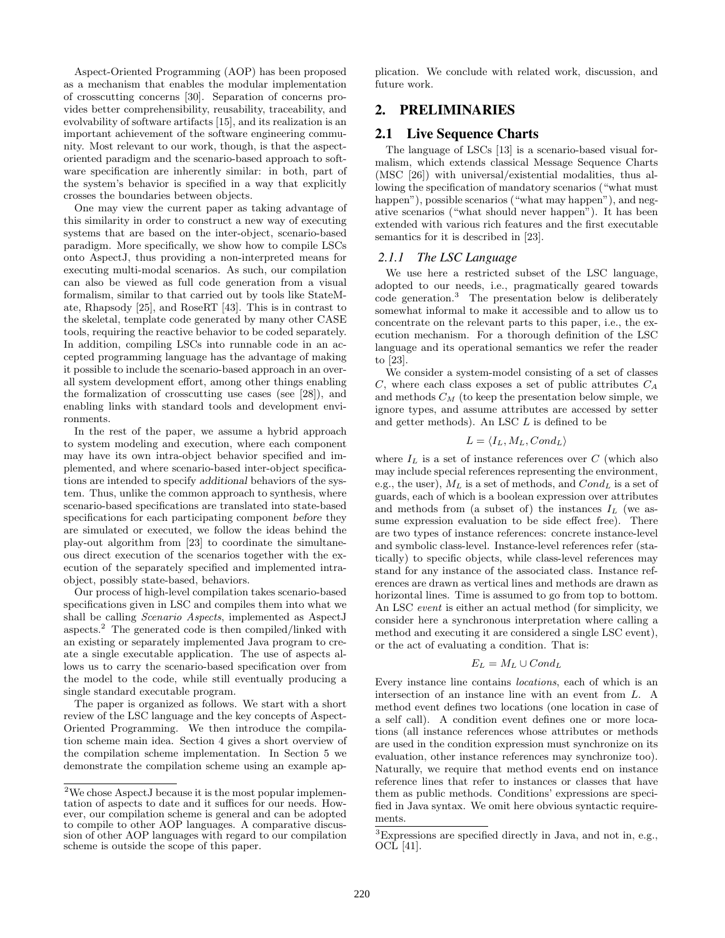Aspect-Oriented Programming (AOP) has been proposed as a mechanism that enables the modular implementation of crosscutting concerns [30]. Separation of concerns provides better comprehensibility, reusability, traceability, and evolvability of software artifacts [15], and its realization is an important achievement of the software engineering community. Most relevant to our work, though, is that the aspectoriented paradigm and the scenario-based approach to software specification are inherently similar: in both, part of the system's behavior is specified in a way that explicitly crosses the boundaries between objects.

One may view the current paper as taking advantage of this similarity in order to construct a new way of executing systems that are based on the inter-object, scenario-based paradigm. More specifically, we show how to compile LSCs onto AspectJ, thus providing a non-interpreted means for executing multi-modal scenarios. As such, our compilation can also be viewed as full code generation from a visual formalism, similar to that carried out by tools like StateMate, Rhapsody [25], and RoseRT [43]. This is in contrast to the skeletal, template code generated by many other CASE tools, requiring the reactive behavior to be coded separately. In addition, compiling LSCs into runnable code in an accepted programming language has the advantage of making it possible to include the scenario-based approach in an overall system development effort, among other things enabling the formalization of crosscutting use cases (see [28]), and enabling links with standard tools and development environments.

In the rest of the paper, we assume a hybrid approach to system modeling and execution, where each component may have its own intra-object behavior specified and implemented, and where scenario-based inter-object specifications are intended to specify *additional* behaviors of the system. Thus, unlike the common approach to synthesis, where scenario-based specifications are translated into state-based specifications for each participating component *before* they are simulated or executed, we follow the ideas behind the play-out algorithm from [23] to coordinate the simultaneous direct execution of the scenarios together with the execution of the separately specified and implemented intraobject, possibly state-based, behaviors.

Our process of high-level compilation takes scenario-based specifications given in LSC and compiles them into what we shall be calling Scenario Aspects, implemented as AspectJ aspects.<sup>2</sup> The generated code is then compiled/linked with an existing or separately implemented Java program to create a single executable application. The use of aspects allows us to carry the scenario-based specification over from the model to the code, while still eventually producing a single standard executable program.

The paper is organized as follows. We start with a short review of the LSC language and the key concepts of Aspect-Oriented Programming. We then introduce the compilation scheme main idea. Section 4 gives a short overview of the compilation scheme implementation. In Section 5 we demonstrate the compilation scheme using an example application. We conclude with related work, discussion, and future work.

# **2. PRELIMINARIES**

#### **2.1 Live Sequence Charts**

The language of LSCs [13] is a scenario-based visual formalism, which extends classical Message Sequence Charts (MSC [26]) with universal/existential modalities, thus allowing the specification of mandatory scenarios ("what must happen"), possible scenarios ("what may happen"), and negative scenarios ("what should never happen"). It has been extended with various rich features and the first executable semantics for it is described in [23].

#### *2.1.1 The LSC Language*

We use here a restricted subset of the LSC language, adopted to our needs, i.e., pragmatically geared towards code generation.<sup>3</sup> The presentation below is deliberately somewhat informal to make it accessible and to allow us to concentrate on the relevant parts to this paper, i.e., the execution mechanism. For a thorough definition of the LSC language and its operational semantics we refer the reader to [23].

We consider a system-model consisting of a set of classes C, where each class exposes a set of public attributes  $C_A$ and methods  $C_M$  (to keep the presentation below simple, we ignore types, and assume attributes are accessed by setter and getter methods). An LSC L is defined to be

$$
L = \langle I_L, M_L, Cond_L \rangle
$$

where  $I_L$  is a set of instance references over C (which also may include special references representing the environment, e.g., the user),  $M_L$  is a set of methods, and  $Cond_L$  is a set of guards, each of which is a boolean expression over attributes and methods from (a subset of) the instances  $I_L$  (we assume expression evaluation to be side effect free). There are two types of instance references: concrete instance-level and symbolic class-level. Instance-level references refer (statically) to specific objects, while class-level references may stand for any instance of the associated class. Instance references are drawn as vertical lines and methods are drawn as horizontal lines. Time is assumed to go from top to bottom. An LSC event is either an actual method (for simplicity, we consider here a synchronous interpretation where calling a method and executing it are considered a single LSC event), or the act of evaluating a condition. That is:

$$
E_L=M_L\cup Cond_L
$$

Every instance line contains locations, each of which is an intersection of an instance line with an event from L. A method event defines two locations (one location in case of a self call). A condition event defines one or more locations (all instance references whose attributes or methods are used in the condition expression must synchronize on its evaluation, other instance references may synchronize too). Naturally, we require that method events end on instance reference lines that refer to instances or classes that have them as public methods. Conditions' expressions are specified in Java syntax. We omit here obvious syntactic requirements.

<sup>2</sup>We chose AspectJ because it is the most popular implementation of aspects to date and it suffices for our needs. However, our compilation scheme is general and can be adopted to compile to other AOP languages. A comparative discussion of other AOP languages with regard to our compilation scheme is outside the scope of this paper.

<sup>3</sup>Expressions are specified directly in Java, and not in, e.g., OCL [41].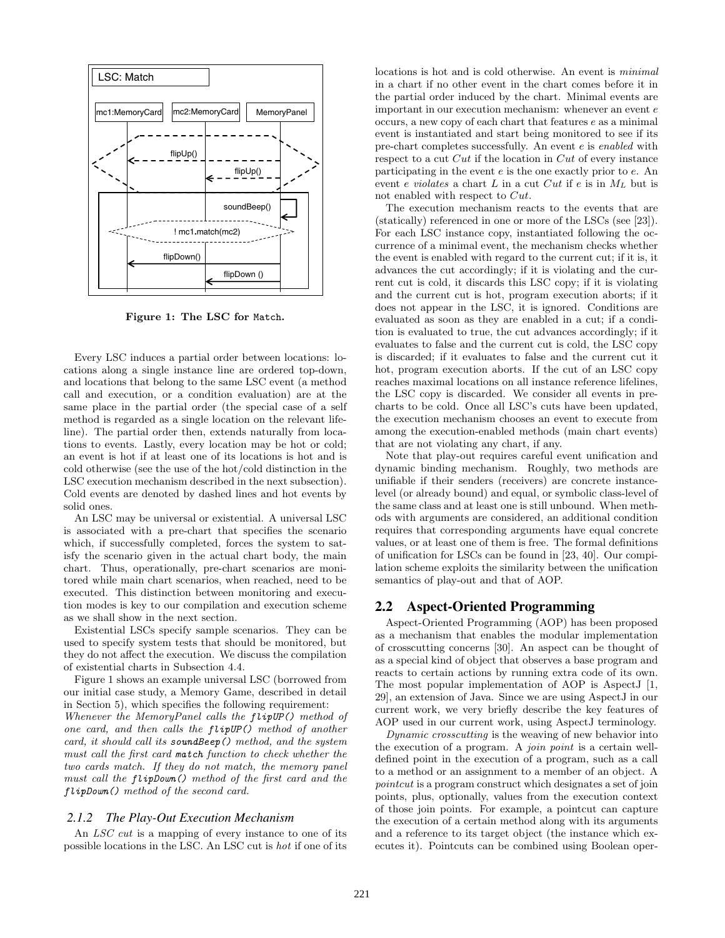

**Figure 1: The LSC for** Match**.**

Every LSC induces a partial order between locations: locations along a single instance line are ordered top-down, and locations that belong to the same LSC event (a method call and execution, or a condition evaluation) are at the same place in the partial order (the special case of a self method is regarded as a single location on the relevant lifeline). The partial order then, extends naturally from locations to events. Lastly, every location may be hot or cold; an event is hot if at least one of its locations is hot and is cold otherwise (see the use of the hot/cold distinction in the LSC execution mechanism described in the next subsection). Cold events are denoted by dashed lines and hot events by solid ones.

An LSC may be universal or existential. A universal LSC is associated with a pre-chart that specifies the scenario which, if successfully completed, forces the system to satisfy the scenario given in the actual chart body, the main chart. Thus, operationally, pre-chart scenarios are monitored while main chart scenarios, when reached, need to be executed. This distinction between monitoring and execution modes is key to our compilation and execution scheme as we shall show in the next section.

Existential LSCs specify sample scenarios. They can be used to specify system tests that should be monitored, but they do not affect the execution. We discuss the compilation of existential charts in Subsection 4.4.

Figure 1 shows an example universal LSC (borrowed from our initial case study, a Memory Game, described in detail in Section 5), which specifies the following requirement: Whenever the MemoryPanel calls the flipUP() method of one card, and then calls the flipUP() method of another card, it should call its soundBeep() method, and the system must call the first card match function to check whether the two cards match. If they do not match, the memory panel must call the flipDown() method of the first card and the flipDown() method of the second card.

#### *2.1.2 The Play-Out Execution Mechanism*

An *LSC cut* is a mapping of every instance to one of its possible locations in the LSC. An LSC cut is hot if one of its

locations is hot and is cold otherwise. An event is minimal in a chart if no other event in the chart comes before it in the partial order induced by the chart. Minimal events are important in our execution mechanism: whenever an event e occurs, a new copy of each chart that features e as a minimal event is instantiated and start being monitored to see if its pre-chart completes successfully. An event e is enabled with respect to a cut Cut if the location in Cut of every instance participating in the event e is the one exactly prior to e. An event e violates a chart L in a cut Cut if e is in  $M_L$  but is not enabled with respect to Cut.

The execution mechanism reacts to the events that are (statically) referenced in one or more of the LSCs (see [23]). For each LSC instance copy, instantiated following the occurrence of a minimal event, the mechanism checks whether the event is enabled with regard to the current cut; if it is, it advances the cut accordingly; if it is violating and the current cut is cold, it discards this LSC copy; if it is violating and the current cut is hot, program execution aborts; if it does not appear in the LSC, it is ignored. Conditions are evaluated as soon as they are enabled in a cut; if a condition is evaluated to true, the cut advances accordingly; if it evaluates to false and the current cut is cold, the LSC copy is discarded; if it evaluates to false and the current cut it hot, program execution aborts. If the cut of an LSC copy reaches maximal locations on all instance reference lifelines, the LSC copy is discarded. We consider all events in precharts to be cold. Once all LSC's cuts have been updated, the execution mechanism chooses an event to execute from among the execution-enabled methods (main chart events) that are not violating any chart, if any.

Note that play-out requires careful event unification and dynamic binding mechanism. Roughly, two methods are unifiable if their senders (receivers) are concrete instancelevel (or already bound) and equal, or symbolic class-level of the same class and at least one is still unbound. When methods with arguments are considered, an additional condition requires that corresponding arguments have equal concrete values, or at least one of them is free. The formal definitions of unification for LSCs can be found in [23, 40]. Our compilation scheme exploits the similarity between the unification semantics of play-out and that of AOP.

#### **2.2 Aspect-Oriented Programming**

Aspect-Oriented Programming (AOP) has been proposed as a mechanism that enables the modular implementation of crosscutting concerns [30]. An aspect can be thought of as a special kind of object that observes a base program and reacts to certain actions by running extra code of its own. The most popular implementation of AOP is AspectJ [1, 29], an extension of Java. Since we are using AspectJ in our current work, we very briefly describe the key features of AOP used in our current work, using AspectJ terminology.

Dynamic crosscutting is the weaving of new behavior into the execution of a program. A join point is a certain welldefined point in the execution of a program, such as a call to a method or an assignment to a member of an object. A pointcut is a program construct which designates a set of join points, plus, optionally, values from the execution context of those join points. For example, a pointcut can capture the execution of a certain method along with its arguments and a reference to its target object (the instance which executes it). Pointcuts can be combined using Boolean oper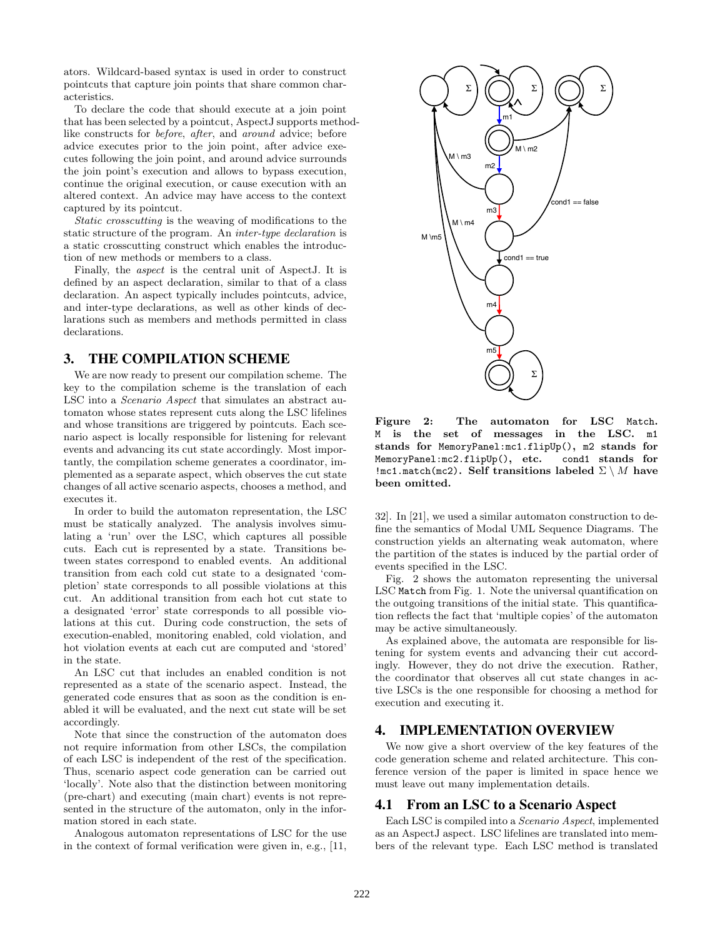ators. Wildcard-based syntax is used in order to construct pointcuts that capture join points that share common characteristics.

To declare the code that should execute at a join point that has been selected by a pointcut, AspectJ supports methodlike constructs for before, after, and around advice; before advice executes prior to the join point, after advice executes following the join point, and around advice surrounds the join point's execution and allows to bypass execution, continue the original execution, or cause execution with an altered context. An advice may have access to the context captured by its pointcut.

Static crosscutting is the weaving of modifications to the static structure of the program. An inter-type declaration is a static crosscutting construct which enables the introduction of new methods or members to a class.

Finally, the aspect is the central unit of AspectJ. It is defined by an aspect declaration, similar to that of a class declaration. An aspect typically includes pointcuts, advice, and inter-type declarations, as well as other kinds of declarations such as members and methods permitted in class declarations.

#### **3. THE COMPILATION SCHEME**

We are now ready to present our compilation scheme. The key to the compilation scheme is the translation of each LSC into a Scenario Aspect that simulates an abstract automaton whose states represent cuts along the LSC lifelines and whose transitions are triggered by pointcuts. Each scenario aspect is locally responsible for listening for relevant events and advancing its cut state accordingly. Most importantly, the compilation scheme generates a coordinator, implemented as a separate aspect, which observes the cut state changes of all active scenario aspects, chooses a method, and executes it.

In order to build the automaton representation, the LSC must be statically analyzed. The analysis involves simulating a 'run' over the LSC, which captures all possible cuts. Each cut is represented by a state. Transitions between states correspond to enabled events. An additional transition from each cold cut state to a designated 'completion' state corresponds to all possible violations at this cut. An additional transition from each hot cut state to a designated 'error' state corresponds to all possible violations at this cut. During code construction, the sets of execution-enabled, monitoring enabled, cold violation, and hot violation events at each cut are computed and 'stored' in the state.

An LSC cut that includes an enabled condition is not represented as a state of the scenario aspect. Instead, the generated code ensures that as soon as the condition is enabled it will be evaluated, and the next cut state will be set accordingly.

Note that since the construction of the automaton does not require information from other LSCs, the compilation of each LSC is independent of the rest of the specification. Thus, scenario aspect code generation can be carried out 'locally'. Note also that the distinction between monitoring (pre-chart) and executing (main chart) events is not represented in the structure of the automaton, only in the information stored in each state.

Analogous automaton representations of LSC for the use in the context of formal verification were given in, e.g., [11,



**Figure 2: The automaton for LSC** Match**.** M **is the set of messages in the LSC.** m1 **stands for** MemoryPanel:mc1.flipUp()**,** m2 **stands for** MemoryPanel:mc2.flipUp()**, etc.** cond1 **stands for** !mc1.match(mc2)**. Self transitions labeled** <sup>Σ</sup> \ <sup>M</sup> **have been omitted.**

32]. In [21], we used a similar automaton construction to define the semantics of Modal UML Sequence Diagrams. The construction yields an alternating weak automaton, where the partition of the states is induced by the partial order of events specified in the LSC.

Fig. 2 shows the automaton representing the universal LSC Match from Fig. 1. Note the universal quantification on the outgoing transitions of the initial state. This quantification reflects the fact that 'multiple copies' of the automaton may be active simultaneously.

As explained above, the automata are responsible for listening for system events and advancing their cut accordingly. However, they do not drive the execution. Rather, the coordinator that observes all cut state changes in active LSCs is the one responsible for choosing a method for execution and executing it.

## **4. IMPLEMENTATION OVERVIEW**

We now give a short overview of the key features of the code generation scheme and related architecture. This conference version of the paper is limited in space hence we must leave out many implementation details.

## **4.1 From an LSC to a Scenario Aspect**

Each LSC is compiled into a Scenario Aspect, implemented as an AspectJ aspect. LSC lifelines are translated into members of the relevant type. Each LSC method is translated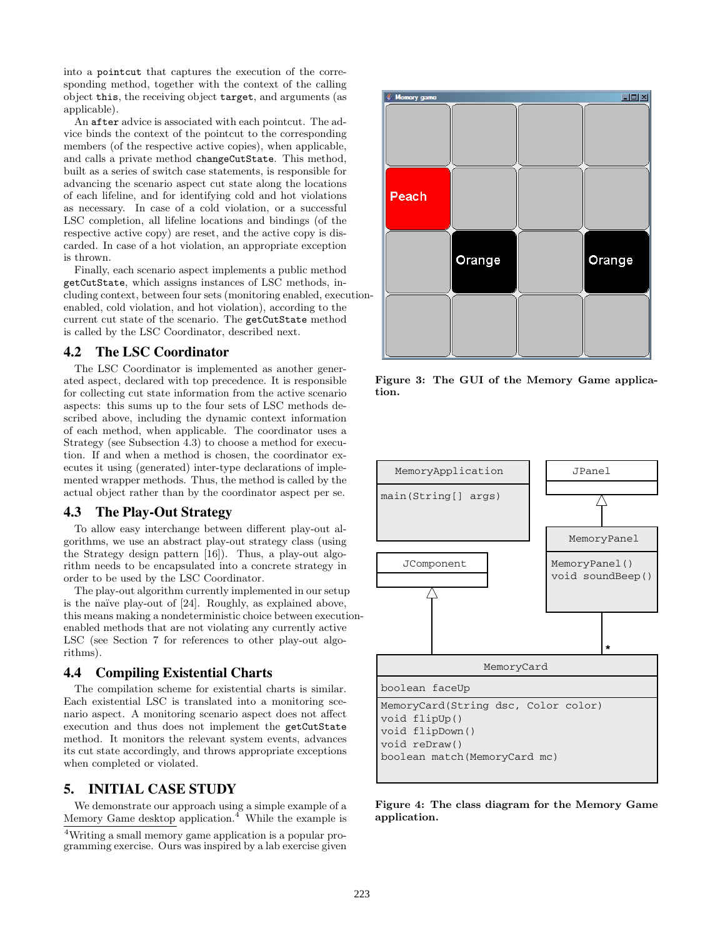into a pointcut that captures the execution of the corresponding method, together with the context of the calling object this, the receiving object target, and arguments (as applicable).

An after advice is associated with each pointcut. The advice binds the context of the pointcut to the corresponding members (of the respective active copies), when applicable, and calls a private method changeCutState. This method, built as a series of switch case statements, is responsible for advancing the scenario aspect cut state along the locations of each lifeline, and for identifying cold and hot violations as necessary. In case of a cold violation, or a successful LSC completion, all lifeline locations and bindings (of the respective active copy) are reset, and the active copy is discarded. In case of a hot violation, an appropriate exception is thrown.

Finally, each scenario aspect implements a public method getCutState, which assigns instances of LSC methods, including context, between four sets (monitoring enabled, executionenabled, cold violation, and hot violation), according to the current cut state of the scenario. The getCutState method is called by the LSC Coordinator, described next.

#### **4.2 The LSC Coordinator**

The LSC Coordinator is implemented as another generated aspect, declared with top precedence. It is responsible for collecting cut state information from the active scenario aspects: this sums up to the four sets of LSC methods described above, including the dynamic context information of each method, when applicable. The coordinator uses a Strategy (see Subsection 4.3) to choose a method for execution. If and when a method is chosen, the coordinator executes it using (generated) inter-type declarations of implemented wrapper methods. Thus, the method is called by the actual object rather than by the coordinator aspect per se.

#### **4.3 The Play-Out Strategy**

To allow easy interchange between different play-out algorithms, we use an abstract play-out strategy class (using the Strategy design pattern [16]). Thus, a play-out algorithm needs to be encapsulated into a concrete strategy in order to be used by the LSC Coordinator.

The play-out algorithm currently implemented in our setup is the naïve play-out of [24]. Roughly, as explained above, this means making a nondeterministic choice between executionenabled methods that are not violating any currently active LSC (see Section 7 for references to other play-out algorithms).

#### **4.4 Compiling Existential Charts**

The compilation scheme for existential charts is similar. Each existential LSC is translated into a monitoring scenario aspect. A monitoring scenario aspect does not affect execution and thus does not implement the getCutState method. It monitors the relevant system events, advances its cut state accordingly, and throws appropriate exceptions when completed or violated.

## **5. INITIAL CASE STUDY**

We demonstrate our approach using a simple example of a Memory Game desktop application.<sup>4</sup> While the example is



**Figure 3: The GUI of the Memory Game application.**



**Figure 4: The class diagram for the Memory Game application.**

<sup>4</sup>Writing a small memory game application is a popular programming exercise. Ours was inspired by a lab exercise given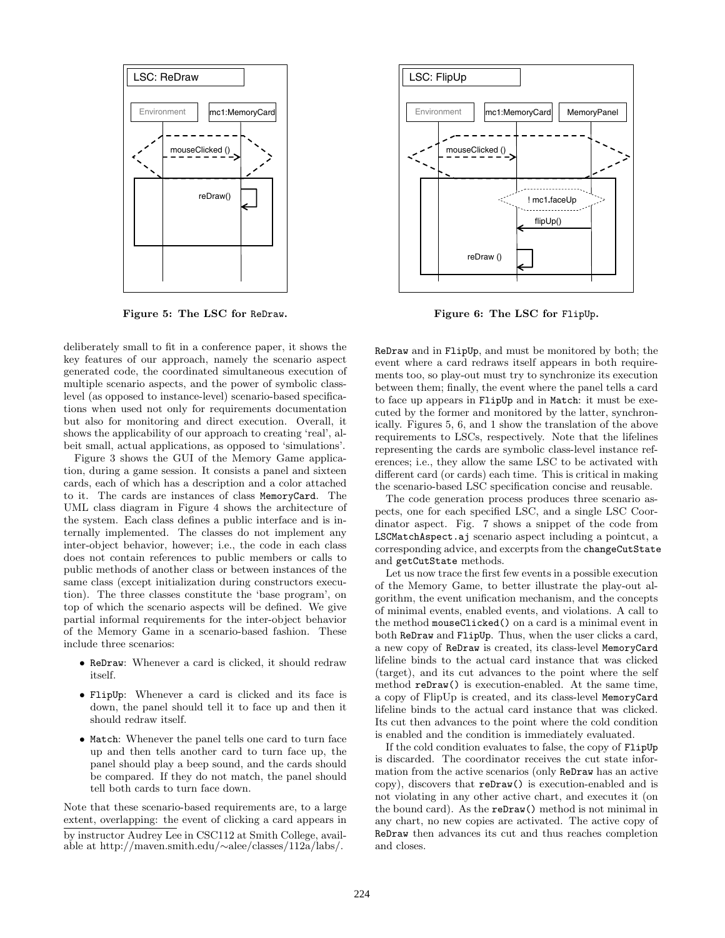

**Figure 5: The LSC for** ReDraw**.**

deliberately small to fit in a conference paper, it shows the key features of our approach, namely the scenario aspect generated code, the coordinated simultaneous execution of multiple scenario aspects, and the power of symbolic classlevel (as opposed to instance-level) scenario-based specifications when used not only for requirements documentation but also for monitoring and direct execution. Overall, it shows the applicability of our approach to creating 'real', albeit small, actual applications, as opposed to 'simulations'.

Figure 3 shows the GUI of the Memory Game application, during a game session. It consists a panel and sixteen cards, each of which has a description and a color attached to it. The cards are instances of class MemoryCard. The UML class diagram in Figure 4 shows the architecture of the system. Each class defines a public interface and is internally implemented. The classes do not implement any inter-object behavior, however; i.e., the code in each class does not contain references to public members or calls to public methods of another class or between instances of the same class (except initialization during constructors execution). The three classes constitute the 'base program', on top of which the scenario aspects will be defined. We give partial informal requirements for the inter-object behavior of the Memory Game in a scenario-based fashion. These include three scenarios:

- ReDraw: Whenever a card is clicked, it should redraw itself.
- FlipUp: Whenever a card is clicked and its face is down, the panel should tell it to face up and then it should redraw itself.
- Match: Whenever the panel tells one card to turn face up and then tells another card to turn face up, the panel should play a beep sound, and the cards should be compared. If they do not match, the panel should tell both cards to turn face down.

Note that these scenario-based requirements are, to a large extent, overlapping: the event of clicking a card appears in by instructor Audrey Lee in CSC112 at Smith College, available at http://maven.smith.edu/∼alee/classes/112a/labs/.



**Figure 6: The LSC for** FlipUp**.**

ReDraw and in FlipUp, and must be monitored by both; the event where a card redraws itself appears in both requirements too, so play-out must try to synchronize its execution between them; finally, the event where the panel tells a card to face up appears in FlipUp and in Match: it must be executed by the former and monitored by the latter, synchronically. Figures 5, 6, and 1 show the translation of the above requirements to LSCs, respectively. Note that the lifelines representing the cards are symbolic class-level instance references; i.e., they allow the same LSC to be activated with different card (or cards) each time. This is critical in making the scenario-based LSC specification concise and reusable.

The code generation process produces three scenario aspects, one for each specified LSC, and a single LSC Coordinator aspect. Fig. 7 shows a snippet of the code from LSCMatchAspect.aj scenario aspect including a pointcut, a corresponding advice, and excerpts from the changeCutState and getCutState methods.

Let us now trace the first few events in a possible execution of the Memory Game, to better illustrate the play-out algorithm, the event unification mechanism, and the concepts of minimal events, enabled events, and violations. A call to the method mouseClicked() on a card is a minimal event in both ReDraw and FlipUp. Thus, when the user clicks a card, a new copy of ReDraw is created, its class-level MemoryCard lifeline binds to the actual card instance that was clicked (target), and its cut advances to the point where the self method reDraw() is execution-enabled. At the same time, a copy of FlipUp is created, and its class-level MemoryCard lifeline binds to the actual card instance that was clicked. Its cut then advances to the point where the cold condition is enabled and the condition is immediately evaluated.

If the cold condition evaluates to false, the copy of FlipUp is discarded. The coordinator receives the cut state information from the active scenarios (only ReDraw has an active copy), discovers that reDraw() is execution-enabled and is not violating in any other active chart, and executes it (on the bound card). As the reDraw() method is not minimal in any chart, no new copies are activated. The active copy of ReDraw then advances its cut and thus reaches completion and closes.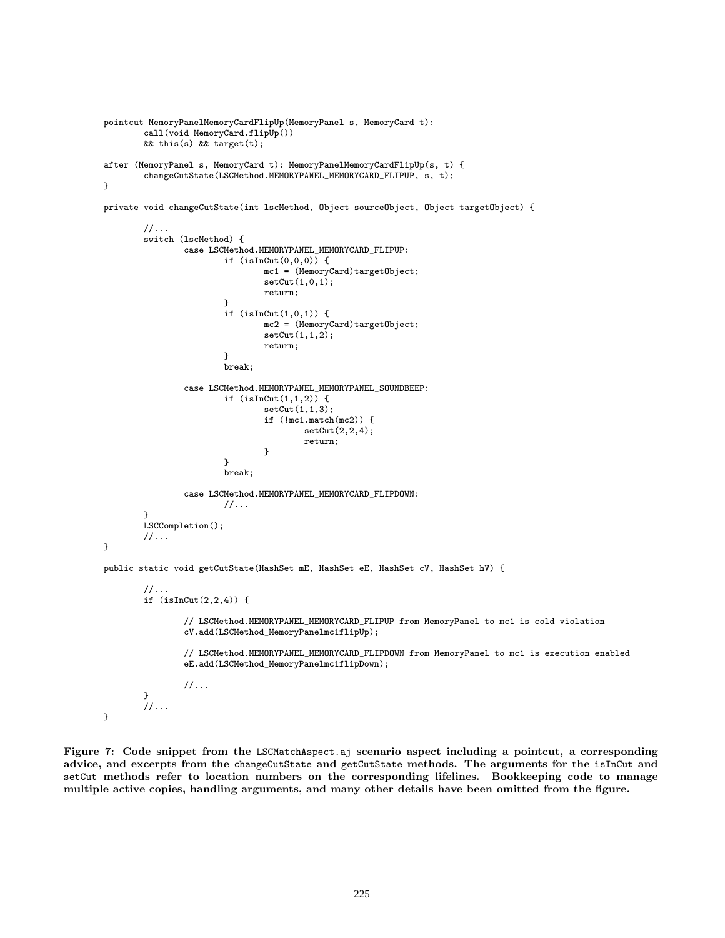```
pointcut MemoryPanelMemoryCardFlipUp(MemoryPanel s, MemoryCard t):
        call(void MemoryCard.flipUp())
        && this(s) && target(t);
after (MemoryPanel s, MemoryCard t): MemoryPanelMemoryCardFlipUp(s, t) {
        changeCutState(LSCMethod.MEMORYPANEL_MEMORYCARD_FLIPUP, s, t);
}
```
private void changeCutState(int lscMethod, Object sourceObject, Object targetObject) {

```
//...
switch (lscMethod) {
        case LSCMethod.MEMORYPANEL_MEMORYCARD_FLIPUP:
                if (isInCut(0,0,0)) {
                        mc1 = (MemoryCard)targetObject;
                        setCut(1,0,1);
                        return;
                }
                if (isInCut(1,0,1)) {
                        mc2 = (MemoryCard)targetObject;
                        setCut(1,1,2);
                        return;
                }
                break;
        case LSCMethod.MEMORYPANEL_MEMORYPANEL_SOUNDBEEP:
                if (isInCut(1,1,2)) {
                        setCut(1,1,3);
                        if (!mc1.match(mc2)) {
                                 setCut(2,2,4);
                                return;
                        }
                }
                break;
        case LSCMethod.MEMORYPANEL_MEMORYCARD_FLIPDOWN:
                1/\ldots}
LSCCompletion();
//...
```
public static void getCutState(HashSet mE, HashSet eE, HashSet cV, HashSet hV) {

```
//...
if (isInCut(2,2,4)) {
```
// LSCMethod.MEMORYPANEL\_MEMORYCARD\_FLIPUP from MemoryPanel to mc1 is cold violation cV.add(LSCMethod\_MemoryPanelmc1flipUp);

// LSCMethod.MEMORYPANEL\_MEMORYCARD\_FLIPDOWN from MemoryPanel to mc1 is execution enabled eE.add(LSCMethod\_MemoryPanelmc1flipDown);

```
//...
         }
         //...
}
```
}

**Figure 7: Code snippet from the** LSCMatchAspect.aj **scenario aspect including a pointcut, a corresponding advice, and excerpts from the** changeCutState **and** getCutState **methods. The arguments for the** isInCut **and** setCut **methods refer to location numbers on the corresponding lifelines. Bookkeeping code to manage multiple active copies, handling arguments, and many other details have been omitted from the figure.**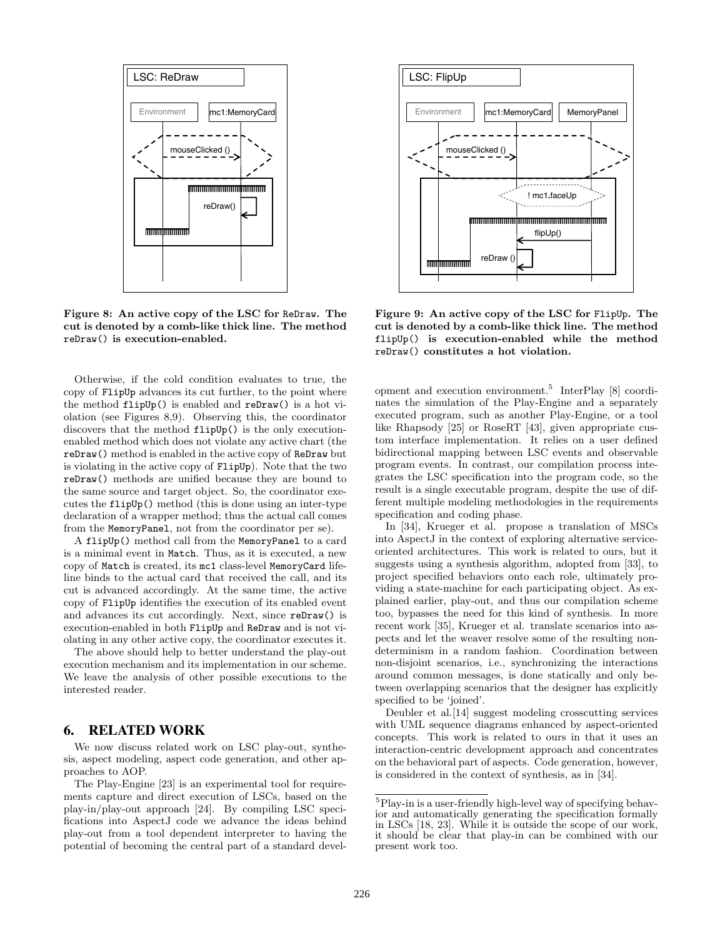

**Figure 8: An active copy of the LSC for** ReDraw**. The cut is denoted by a comb-like thick line. The method** reDraw() **is execution-enabled.**

Otherwise, if the cold condition evaluates to true, the copy of FlipUp advances its cut further, to the point where the method flipUp() is enabled and reDraw() is a hot violation (see Figures 8,9). Observing this, the coordinator discovers that the method flipUp() is the only executionenabled method which does not violate any active chart (the reDraw() method is enabled in the active copy of ReDraw but is violating in the active copy of FlipUp). Note that the two reDraw() methods are unified because they are bound to the same source and target object. So, the coordinator executes the flipUp() method (this is done using an inter-type declaration of a wrapper method; thus the actual call comes from the MemoryPanel, not from the coordinator per se).

A flipUp() method call from the MemoryPanel to a card is a minimal event in Match. Thus, as it is executed, a new copy of Match is created, its mc1 class-level MemoryCard lifeline binds to the actual card that received the call, and its cut is advanced accordingly. At the same time, the active copy of FlipUp identifies the execution of its enabled event and advances its cut accordingly. Next, since reDraw() is execution-enabled in both FlipUp and ReDraw and is not violating in any other active copy, the coordinator executes it.

The above should help to better understand the play-out execution mechanism and its implementation in our scheme. We leave the analysis of other possible executions to the interested reader.

## **6. RELATED WORK**

We now discuss related work on LSC play-out, synthesis, aspect modeling, aspect code generation, and other approaches to AOP.

The Play-Engine [23] is an experimental tool for requirements capture and direct execution of LSCs, based on the play-in/play-out approach [24]. By compiling LSC specifications into AspectJ code we advance the ideas behind play-out from a tool dependent interpreter to having the potential of becoming the central part of a standard devel-



**Figure 9: An active copy of the LSC for** FlipUp**. The cut is denoted by a comb-like thick line. The method** flipUp() **is execution-enabled while the method** reDraw() **constitutes a hot violation.**

opment and execution environment.<sup>5</sup> InterPlay [8] coordinates the simulation of the Play-Engine and a separately executed program, such as another Play-Engine, or a tool like Rhapsody [25] or RoseRT [43], given appropriate custom interface implementation. It relies on a user defined bidirectional mapping between LSC events and observable program events. In contrast, our compilation process integrates the LSC specification into the program code, so the result is a single executable program, despite the use of different multiple modeling methodologies in the requirements specification and coding phase.

In [34], Krueger et al. propose a translation of MSCs into AspectJ in the context of exploring alternative serviceoriented architectures. This work is related to ours, but it suggests using a synthesis algorithm, adopted from [33], to project specified behaviors onto each role, ultimately providing a state-machine for each participating object. As explained earlier, play-out, and thus our compilation scheme too, bypasses the need for this kind of synthesis. In more recent work [35], Krueger et al. translate scenarios into aspects and let the weaver resolve some of the resulting nondeterminism in a random fashion. Coordination between non-disjoint scenarios, i.e., synchronizing the interactions around common messages, is done statically and only between overlapping scenarios that the designer has explicitly specified to be 'joined'.

Deubler et al.[14] suggest modeling crosscutting services with UML sequence diagrams enhanced by aspect-oriented concepts. This work is related to ours in that it uses an interaction-centric development approach and concentrates on the behavioral part of aspects. Code generation, however, is considered in the context of synthesis, as in [34].

<sup>5</sup>Play-in is a user-friendly high-level way of specifying behavior and automatically generating the specification formally in LSCs [18, 23]. While it is outside the scope of our work, it should be clear that play-in can be combined with our present work too.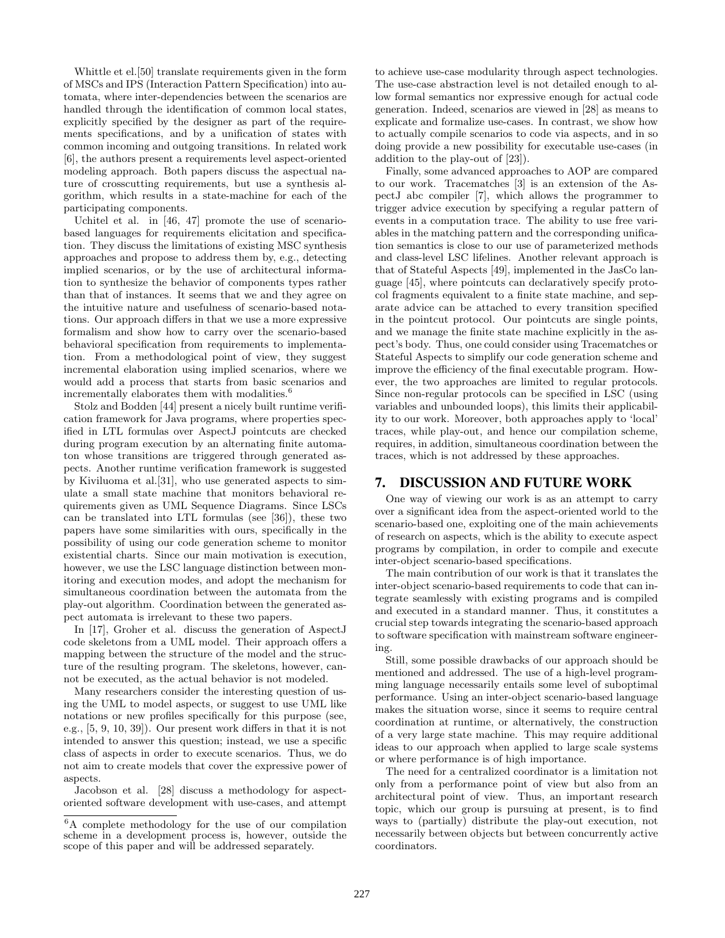Whittle et el.[50] translate requirements given in the form of MSCs and IPS (Interaction Pattern Specification) into automata, where inter-dependencies between the scenarios are handled through the identification of common local states, explicitly specified by the designer as part of the requirements specifications, and by a unification of states with common incoming and outgoing transitions. In related work [6], the authors present a requirements level aspect-oriented modeling approach. Both papers discuss the aspectual nature of crosscutting requirements, but use a synthesis algorithm, which results in a state-machine for each of the participating components.

Uchitel et al. in [46, 47] promote the use of scenariobased languages for requirements elicitation and specification. They discuss the limitations of existing MSC synthesis approaches and propose to address them by, e.g., detecting implied scenarios, or by the use of architectural information to synthesize the behavior of components types rather than that of instances. It seems that we and they agree on the intuitive nature and usefulness of scenario-based notations. Our approach differs in that we use a more expressive formalism and show how to carry over the scenario-based behavioral specification from requirements to implementation. From a methodological point of view, they suggest incremental elaboration using implied scenarios, where we would add a process that starts from basic scenarios and incrementally elaborates them with modalities.<sup>6</sup>

Stolz and Bodden [44] present a nicely built runtime verification framework for Java programs, where properties specified in LTL formulas over AspectJ pointcuts are checked during program execution by an alternating finite automaton whose transitions are triggered through generated aspects. Another runtime verification framework is suggested by Kiviluoma et al.[31], who use generated aspects to simulate a small state machine that monitors behavioral requirements given as UML Sequence Diagrams. Since LSCs can be translated into LTL formulas (see [36]), these two papers have some similarities with ours, specifically in the possibility of using our code generation scheme to monitor existential charts. Since our main motivation is execution, however, we use the LSC language distinction between monitoring and execution modes, and adopt the mechanism for simultaneous coordination between the automata from the play-out algorithm. Coordination between the generated aspect automata is irrelevant to these two papers.

In [17], Groher et al. discuss the generation of AspectJ code skeletons from a UML model. Their approach offers a mapping between the structure of the model and the structure of the resulting program. The skeletons, however, cannot be executed, as the actual behavior is not modeled.

Many researchers consider the interesting question of using the UML to model aspects, or suggest to use UML like notations or new profiles specifically for this purpose (see, e.g., [5, 9, 10, 39]). Our present work differs in that it is not intended to answer this question; instead, we use a specific class of aspects in order to execute scenarios. Thus, we do not aim to create models that cover the expressive power of aspects.

Jacobson et al. [28] discuss a methodology for aspectoriented software development with use-cases, and attempt to achieve use-case modularity through aspect technologies. The use-case abstraction level is not detailed enough to allow formal semantics nor expressive enough for actual code generation. Indeed, scenarios are viewed in [28] as means to explicate and formalize use-cases. In contrast, we show how to actually compile scenarios to code via aspects, and in so doing provide a new possibility for executable use-cases (in addition to the play-out of [23]).

Finally, some advanced approaches to AOP are compared to our work. Tracematches [3] is an extension of the AspectJ abc compiler [7], which allows the programmer to trigger advice execution by specifying a regular pattern of events in a computation trace. The ability to use free variables in the matching pattern and the corresponding unification semantics is close to our use of parameterized methods and class-level LSC lifelines. Another relevant approach is that of Stateful Aspects [49], implemented in the JasCo language [45], where pointcuts can declaratively specify protocol fragments equivalent to a finite state machine, and separate advice can be attached to every transition specified in the pointcut protocol. Our pointcuts are single points, and we manage the finite state machine explicitly in the aspect's body. Thus, one could consider using Tracematches or Stateful Aspects to simplify our code generation scheme and improve the efficiency of the final executable program. However, the two approaches are limited to regular protocols. Since non-regular protocols can be specified in LSC (using variables and unbounded loops), this limits their applicability to our work. Moreover, both approaches apply to 'local' traces, while play-out, and hence our compilation scheme, requires, in addition, simultaneous coordination between the traces, which is not addressed by these approaches.

## **7. DISCUSSION AND FUTURE WORK**

One way of viewing our work is as an attempt to carry over a significant idea from the aspect-oriented world to the scenario-based one, exploiting one of the main achievements of research on aspects, which is the ability to execute aspect programs by compilation, in order to compile and execute inter-object scenario-based specifications.

The main contribution of our work is that it translates the inter-object scenario-based requirements to code that can integrate seamlessly with existing programs and is compiled and executed in a standard manner. Thus, it constitutes a crucial step towards integrating the scenario-based approach to software specification with mainstream software engineering.

Still, some possible drawbacks of our approach should be mentioned and addressed. The use of a high-level programming language necessarily entails some level of suboptimal performance. Using an inter-object scenario-based language makes the situation worse, since it seems to require central coordination at runtime, or alternatively, the construction of a very large state machine. This may require additional ideas to our approach when applied to large scale systems or where performance is of high importance.

The need for a centralized coordinator is a limitation not only from a performance point of view but also from an architectural point of view. Thus, an important research topic, which our group is pursuing at present, is to find ways to (partially) distribute the play-out execution, not necessarily between objects but between concurrently active coordinators.

<sup>6</sup>A complete methodology for the use of our compilation scheme in a development process is, however, outside the scope of this paper and will be addressed separately.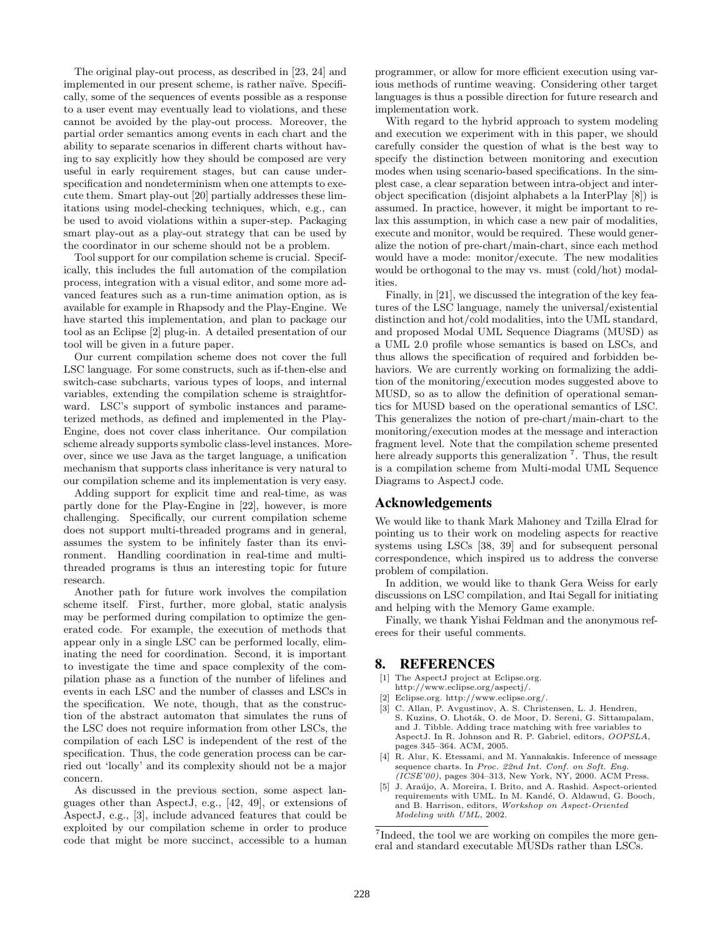The original play-out process, as described in [23, 24] and implemented in our present scheme, is rather naïve. Specifically, some of the sequences of events possible as a response to a user event may eventually lead to violations, and these cannot be avoided by the play-out process. Moreover, the partial order semantics among events in each chart and the ability to separate scenarios in different charts without having to say explicitly how they should be composed are very useful in early requirement stages, but can cause underspecification and nondeterminism when one attempts to execute them. Smart play-out [20] partially addresses these limitations using model-checking techniques, which, e.g., can be used to avoid violations within a super-step. Packaging smart play-out as a play-out strategy that can be used by the coordinator in our scheme should not be a problem.

Tool support for our compilation scheme is crucial. Specifically, this includes the full automation of the compilation process, integration with a visual editor, and some more advanced features such as a run-time animation option, as is available for example in Rhapsody and the Play-Engine. We have started this implementation, and plan to package our tool as an Eclipse [2] plug-in. A detailed presentation of our tool will be given in a future paper.

Our current compilation scheme does not cover the full LSC language. For some constructs, such as if-then-else and switch-case subcharts, various types of loops, and internal variables, extending the compilation scheme is straightforward. LSC's support of symbolic instances and parameterized methods, as defined and implemented in the Play-Engine, does not cover class inheritance. Our compilation scheme already supports symbolic class-level instances. Moreover, since we use Java as the target language, a unification mechanism that supports class inheritance is very natural to our compilation scheme and its implementation is very easy.

Adding support for explicit time and real-time, as was partly done for the Play-Engine in [22], however, is more challenging. Specifically, our current compilation scheme does not support multi-threaded programs and in general, assumes the system to be infinitely faster than its environment. Handling coordination in real-time and multithreaded programs is thus an interesting topic for future research.

Another path for future work involves the compilation scheme itself. First, further, more global, static analysis may be performed during compilation to optimize the generated code. For example, the execution of methods that appear only in a single LSC can be performed locally, eliminating the need for coordination. Second, it is important to investigate the time and space complexity of the compilation phase as a function of the number of lifelines and events in each LSC and the number of classes and LSCs in the specification. We note, though, that as the construction of the abstract automaton that simulates the runs of the LSC does not require information from other LSCs, the compilation of each LSC is independent of the rest of the specification. Thus, the code generation process can be carried out 'locally' and its complexity should not be a major concern.

As discussed in the previous section, some aspect languages other than AspectJ, e.g., [42, 49], or extensions of AspectJ, e.g., [3], include advanced features that could be exploited by our compilation scheme in order to produce code that might be more succinct, accessible to a human programmer, or allow for more efficient execution using various methods of runtime weaving. Considering other target languages is thus a possible direction for future research and implementation work.

With regard to the hybrid approach to system modeling and execution we experiment with in this paper, we should carefully consider the question of what is the best way to specify the distinction between monitoring and execution modes when using scenario-based specifications. In the simplest case, a clear separation between intra-object and interobject specification (disjoint alphabets a la InterPlay [8]) is assumed. In practice, however, it might be important to relax this assumption, in which case a new pair of modalities, execute and monitor, would be required. These would generalize the notion of pre-chart/main-chart, since each method would have a mode: monitor/execute. The new modalities would be orthogonal to the may vs. must (cold/hot) modalities.

Finally, in [21], we discussed the integration of the key features of the LSC language, namely the universal/existential distinction and hot/cold modalities, into the UML standard, and proposed Modal UML Sequence Diagrams (MUSD) as a UML 2.0 profile whose semantics is based on LSCs, and thus allows the specification of required and forbidden behaviors. We are currently working on formalizing the addition of the monitoring/execution modes suggested above to MUSD, so as to allow the definition of operational semantics for MUSD based on the operational semantics of LSC. This generalizes the notion of pre-chart/main-chart to the monitoring/execution modes at the message and interaction fragment level. Note that the compilation scheme presented here already supports this generalization  $\overline{7}$ . Thus, the result is a compilation scheme from Multi-modal UML Sequence Diagrams to AspectJ code.

#### **Acknowledgements**

We would like to thank Mark Mahoney and Tzilla Elrad for pointing us to their work on modeling aspects for reactive systems using LSCs [38, 39] and for subsequent personal correspondence, which inspired us to address the converse problem of compilation.

In addition, we would like to thank Gera Weiss for early discussions on LSC compilation, and Itai Segall for initiating and helping with the Memory Game example.

Finally, we thank Yishai Feldman and the anonymous referees for their useful comments.

#### **8. REFERENCES**

- [1] The AspectJ project at Eclipse.org. http://www.eclipse.org/aspectj/.
- [2] Eclipse.org. http://www.eclipse.org/.
- [3] C. Allan, P. Avgustinov, A. S. Christensen, L. J. Hendren, S. Kuzins, O. Lhoták, O. de Moor, D. Sereni, G. Sittampalam, and J. Tibble. Adding trace matching with free variables to AspectJ. In R. Johnson and R. P. Gabriel, editors, OOPSLA, pages 345–364. ACM, 2005.
- [4] R. Alur, K. Etessami, and M. Yannakakis. Inference of message sequence charts. In Proc. 22nd Int. Conf. on Soft. Eng.  $(ICSE'00)$ , pages 304-313, New York, NY, 2000. ACM Press.
- J. Araújo, A. Moreira, I. Brito, and A. Rashid. Aspect-oriented requirements with UML. In M. Kandé, O. Aldawud, G. Booch, and B. Harrison, editors, Workshop on Aspect-Oriented Modeling with UML, 2002.

<sup>7</sup>Indeed, the tool we are working on compiles the more general and standard executable MUSDs rather than LSCs.